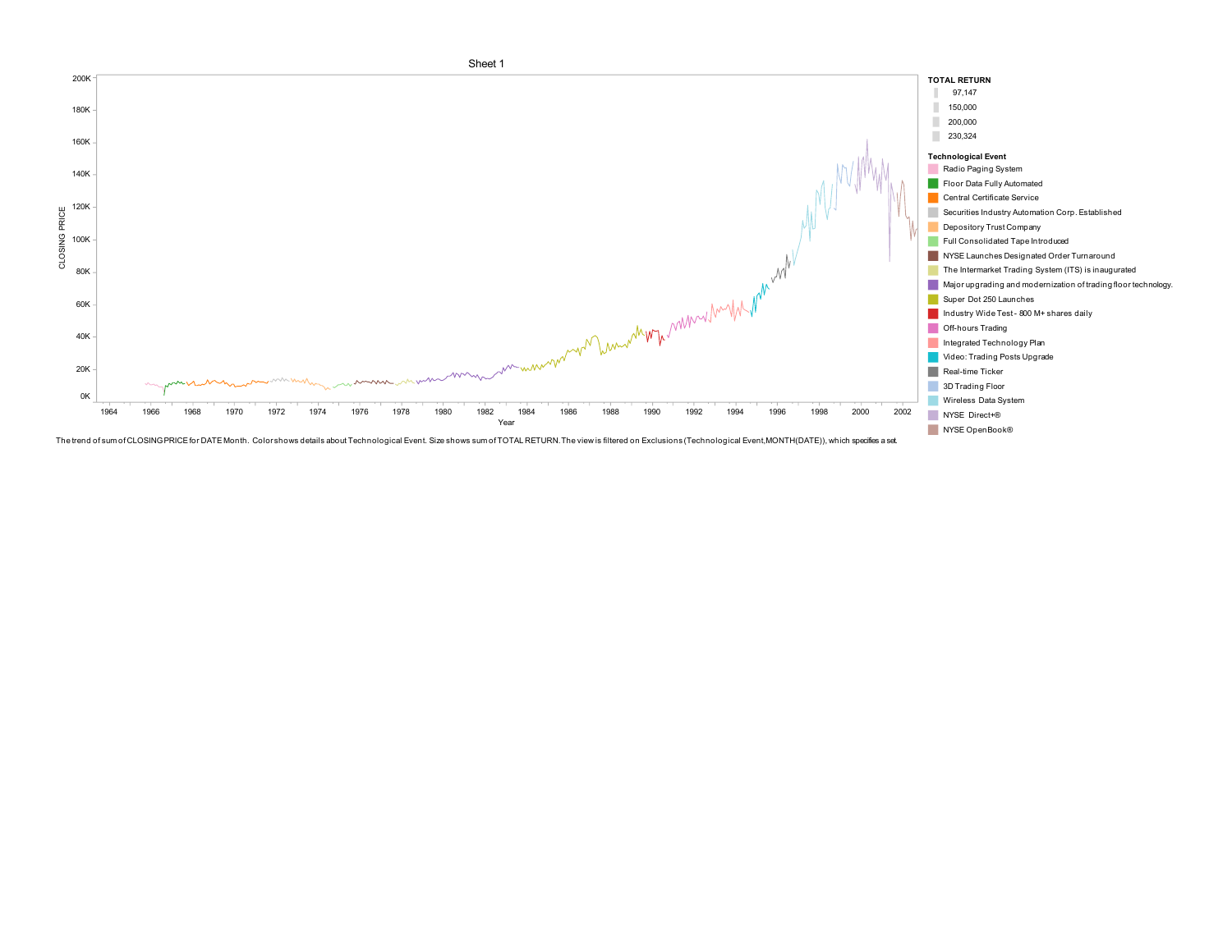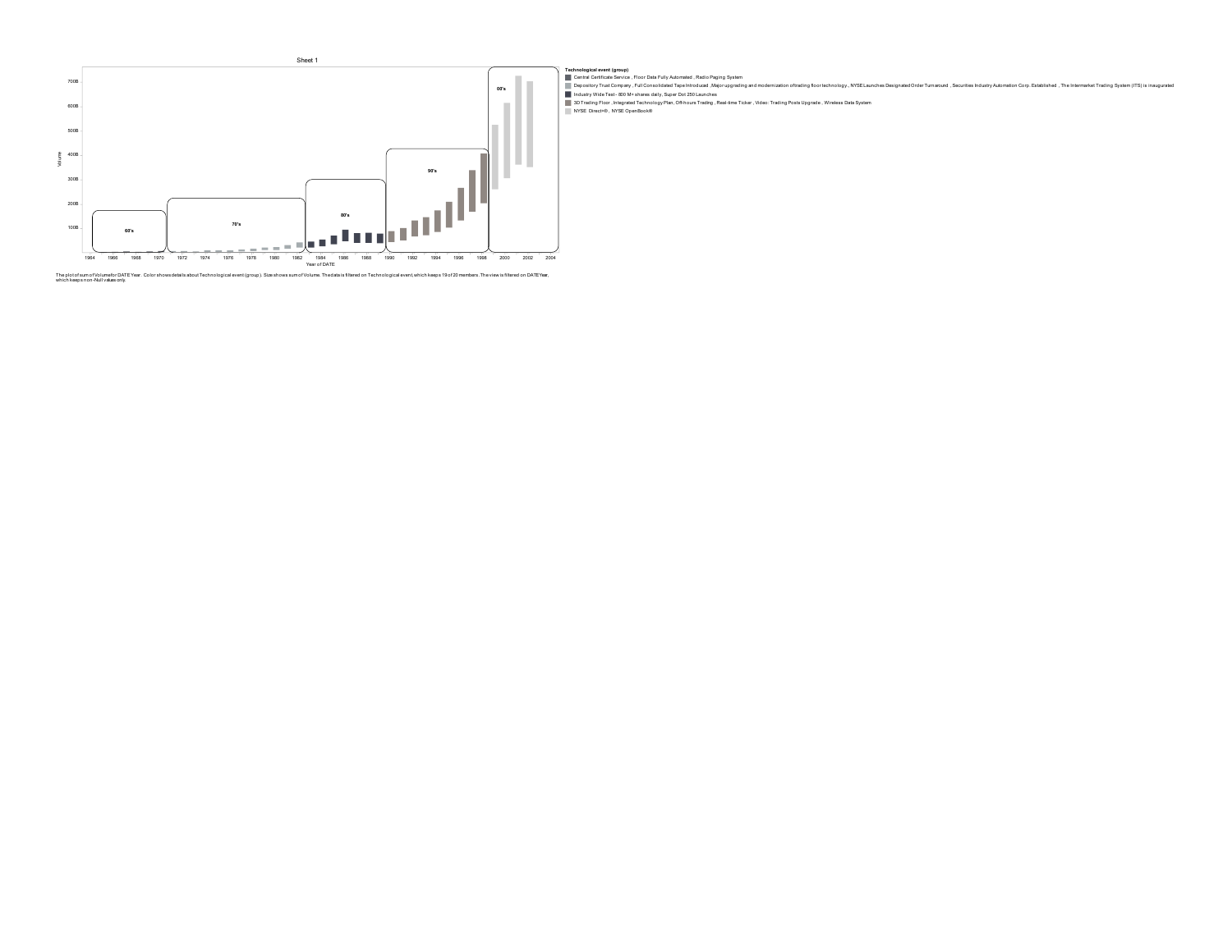

Technological event (group)<br>■ Devel Certicals Serice, Floor Data Fully Adomated , Radio Paging System<br>■ Depository Trust Company, Full Consolidated Tape Introduced ,Majorupgrating and modernization oftrating floor technol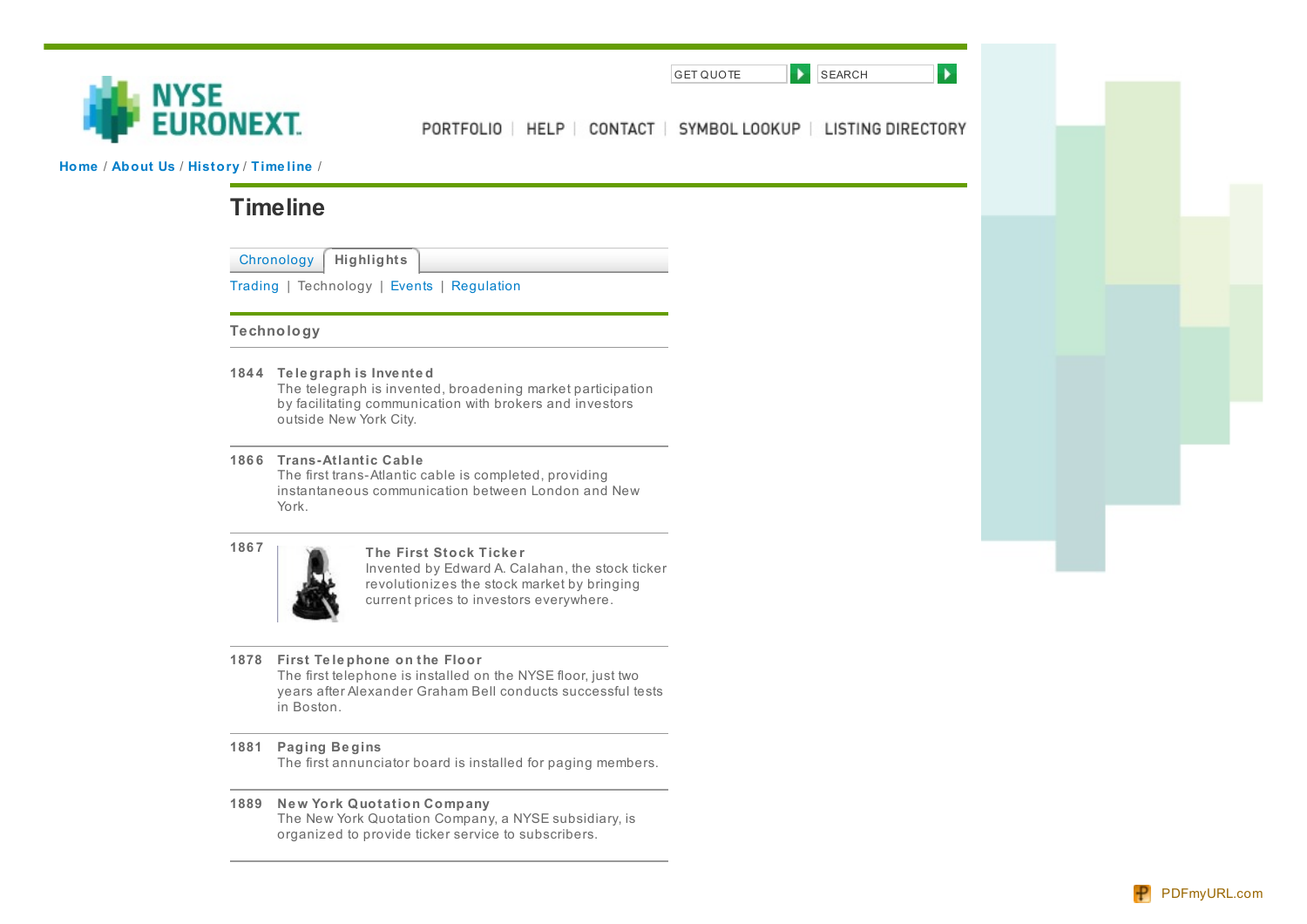

PORTFOLIO | HELP | CONTACT | SYMBOL LOOKUP | LISTING DIRECTORY

GET QUOTE **SEARCH** 

 $\blacktriangleright$ 

**[Home](http://www.nyse.com/home.html)** / **[About](http://www.nyse.com/about/1088808971270.html) Us** / **[History](http://www.nyse.com/about/history/1089312755484.html)** / **[Time](http://www.nyse.com/about/history/timeline_chronology_index.html) line** /

# **Timeline**

[Chronology](http://www.nyse.com/about/history/
/about/history/timeline_chronology_index.html) **Highlights**

[Trading](http://www.nyse.com/about/history/timeline_trading.html) | Technology | [Events](http://www.nyse.com/about/history/timeline_events.html) | [Regulation](http://www.nyse.com/about/history/timeline_regulation.html)

# **Technology**

**184 4 Te le graph is Inve nte d**

The telegraph is invented, broadening market participation by facilitating communication with brokers and investors outside New York City.

**186 6 Trans-Atlantic Cable**

The first trans-Atlantic cable is completed, providing instantaneous communication between London and New York.



**<sup>186</sup> <sup>7</sup> The First Stock Ticke <sup>r</sup>**

Invented by Edward A. Calahan, the stock ticker revolutioniz es the stock market by bringing current prices to investors everywhere.

**1878 First Te le phone on the Floor**

The first telephone is installed on the NYSE floor, just two years after Alexander Graham Bell conducts successful tests in Boston.

**1881 Paging Be gins**

The first annunciator board is installed for paging members.

**1889 Ne w York Quotation Company** The New York Quotation Company, a NYSE subsidiary, is organiz ed to provide ticker service to subscribers.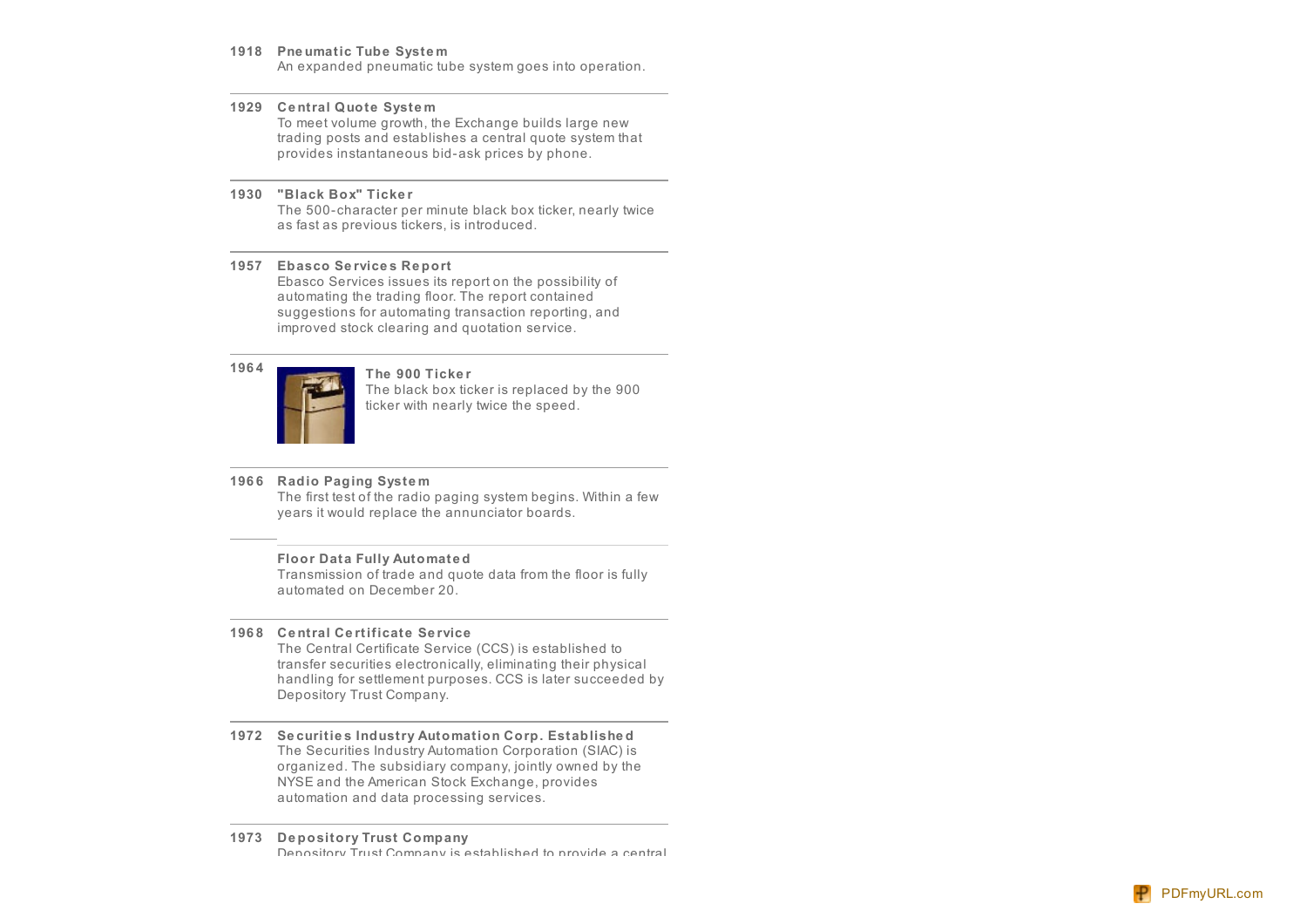#### 1918 Pneumatic Tube System

An expanded pneumatic tube system goes into operation.

#### **1929 Ce ntral Quote Syste m**

To meet volume growth, the Exchange builds large new trading posts and establishes a central quote system that provides instantaneous bid-ask prices by phone.

#### **1930 "Black Box" Ticke r**

The 500- character per minute black box ticker, nearly twic e as fast as previous tickers, is introduced.

#### **1957 Ebasco Se rvice s Re port**

Ebasco Services issues its report on the possibility of automating the trading floor. The report contained suggestions for automating transaction reporting, and improved stock clearing and quotation service.



The black box ticker is replaced by the 9 0 0 ticker with nearly twice the speed.

# **196 6 Radio Paging Syste m**

The first test of the radio paging system begins. Wit hin a fe w years it would replace the annunciator boards.

#### **Floor Data Fully Automate d**

Transmission of trade and quote data from the floor is fully automated on December 20.

#### **196 8 Ce ntral Ce rtificate Se rvic e**

The Central Certificate Service (CCS) is established to transfer securities electronically, eliminating their physical handling for settlement purposes. CCS is later succeeded b y Depository Trust Company.

1972 Securities Industry Automation Corp. Established The Securities Industry Automation Corporation (SIAC) is organized. The subsidiary company, jointly owned by the NYSE and the American Stock Exchange, provides automation and data processing services.

#### **1973 De pository Trust Company** Denository Trust Company is established to provide a central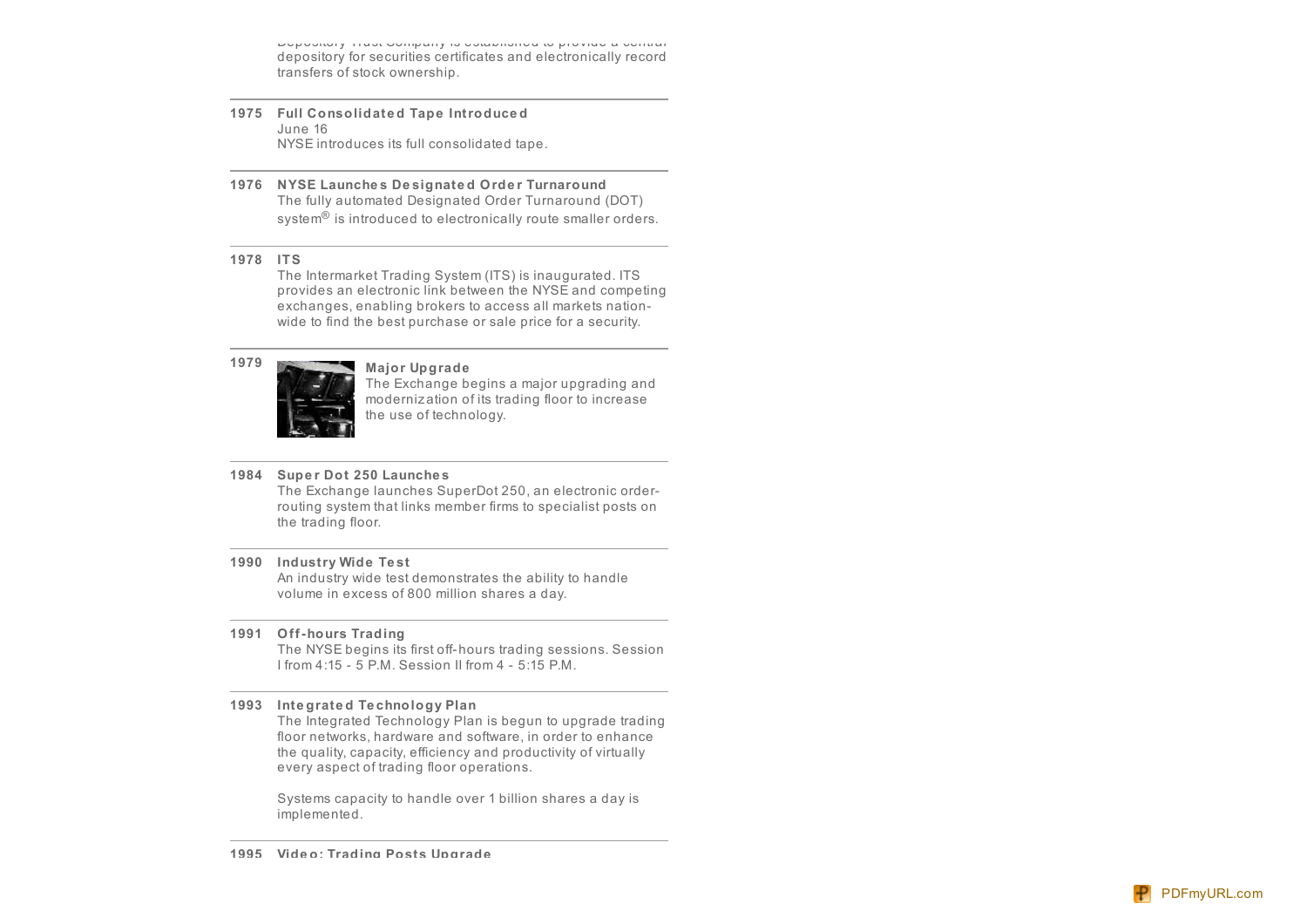is a commonly the commonly to commonly a commonly a commonly a commonly and commonly a commonly a commonly and depository for securities certificates and electronically record transfers of stock ownership.

- **1975 Full Consolidate d Tape Introduce d** June 16 NYSE introduces its full consolidated tape.
- **1976 NYSE Launche s De signate d Orde r Turnaround** The fully automated Designated Order Turnaround (DOT) system<sup>®</sup> is introduced to electronically route smaller orders.

#### **1978 ITS**

The Intermarket Trading System (ITS) is inaugurated. ITS provides an electronic link between the NYSE and competing exchanges, enabling brokers to access all markets nation wide to find the best purchase or sale price for a security.



# **<sup>1979</sup> Major Upgrade**

The Exchange begins a major upgrading and moderniz ation of its trading floor to increase the use of technology.

### **1984 Supe r Dot 250 Launche s**

The Exchange launches SuperDot 250, an electronic order routing system that links member firms to specialist posts on the trading floor.

### **1990 Industry Wide Te st**

An industry wide test demonstrates the ability to handle volume in excess of 800 million shares a day.

**1991 Off-hours Trading**

The NYSE begins its first off-hours trading sessions. Session I from 4:15 - 5 P.M. Session II from 4 - 5:15 P.M.

### **1993 Inte grate d Te chnology Plan**

The Integrated Technology Plan is begun to upgrade trading floor networks, hardware and software, in order to enhance the quality, capacity, efficiency and productivity of virtually every aspect of trading floor operations.

Systems capacity to handle over 1 billion shares a day is implemented.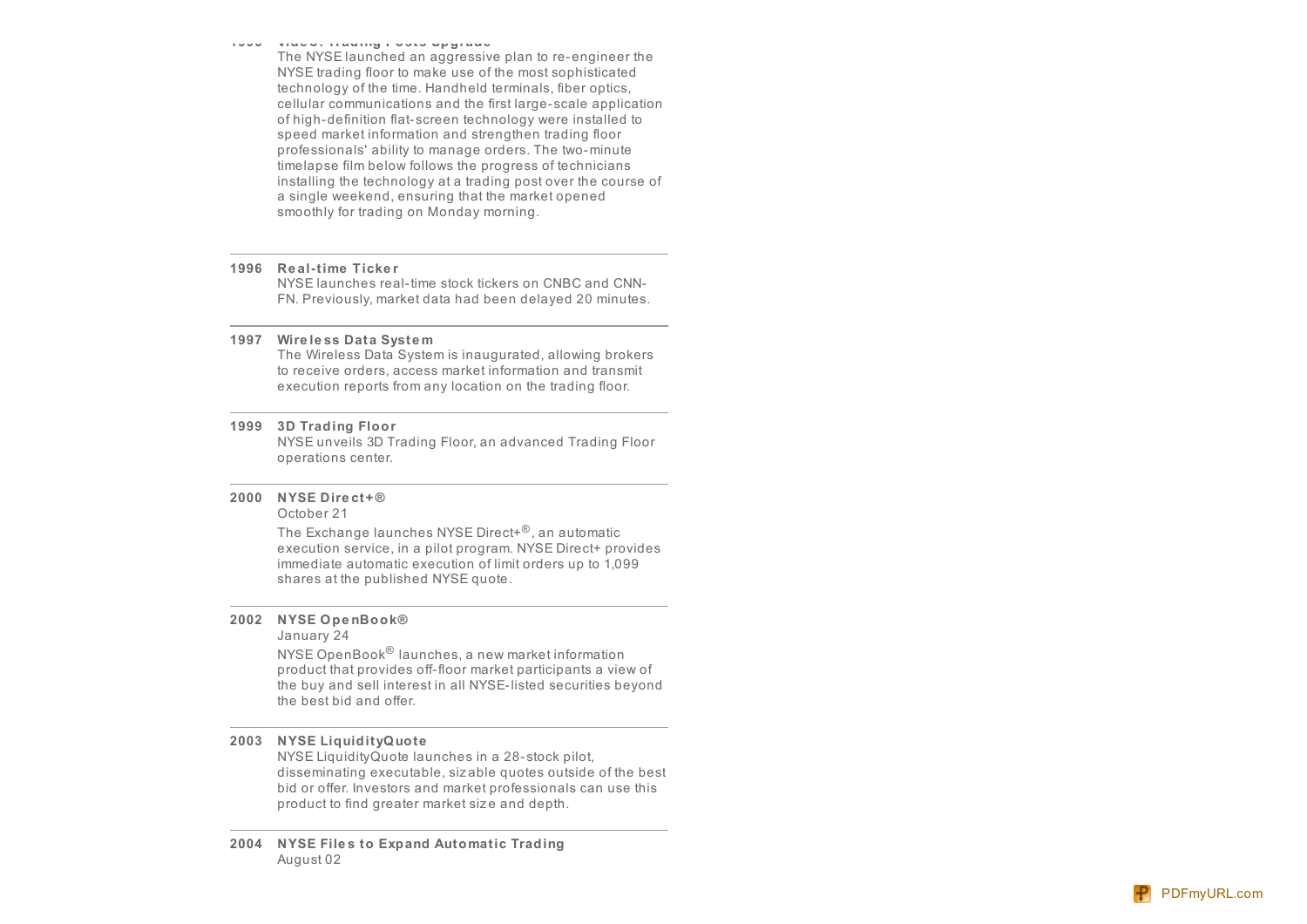## **TAAA** Alman Ilaaliin in aan ahdi ah

The NYSE launched an aggressive plan to re-engineer the NYSE trading floor to make use of the most sophisticated technology of the time. Handheld terminals, fiber optics, cellular communications and the first large-scale application of high-definition flat-screen technology were installed to speed market information and strengthen trading floor professionals' ability to manage orders. The two-minute timelapse film below follows the progress of technicians installing the technology at a trading post over the course of a single weekend, ensuring that the market opened smoothly for trading on Monday morning.

#### **1996 Re al-time Ticke r**

NYSE launches real-time stock tickers on CNBC and CNN-FN. Previously, market data had been delayed 20 minutes.

#### **1997 Wire le ss Data Syste m**

The Wireless Data System is inaugurated, allowing brokers to receive orders, access market information and transmit execution reports from any location on the trading floor.

#### **1999 3D Trading Floor**

NYSE unveils 3D Trading Floor, an advanced Trading Floor operations center.

#### **2000 NYSE Dire ct+ ®** October 21

The Exchange launches NYSE Direct+® , an automatic execution service, in a pilot program. NYSE Direct+ provides immediate automatic execution of limit orders up to 1,099 shares at the published NYSE quote.

## **2002 NYSE Ope nBook®**

January 24

NYSE OpenBook® launches, a new market information product that provides off-floor market participants a view of the buy and sell interest in all NYSE-listed securities beyond the best bid and offer.

#### **2003 NYSE LiquidityQuote**

NYSE LiquidityQuote launches in a 28- stock pilot, disseminating executable, siz able quotes outside of the bes t bid or offer. Investors and market professionals can use this product to find greater market size and depth.

### **2004 NYSE File s to Expand Automatic Trading** August 02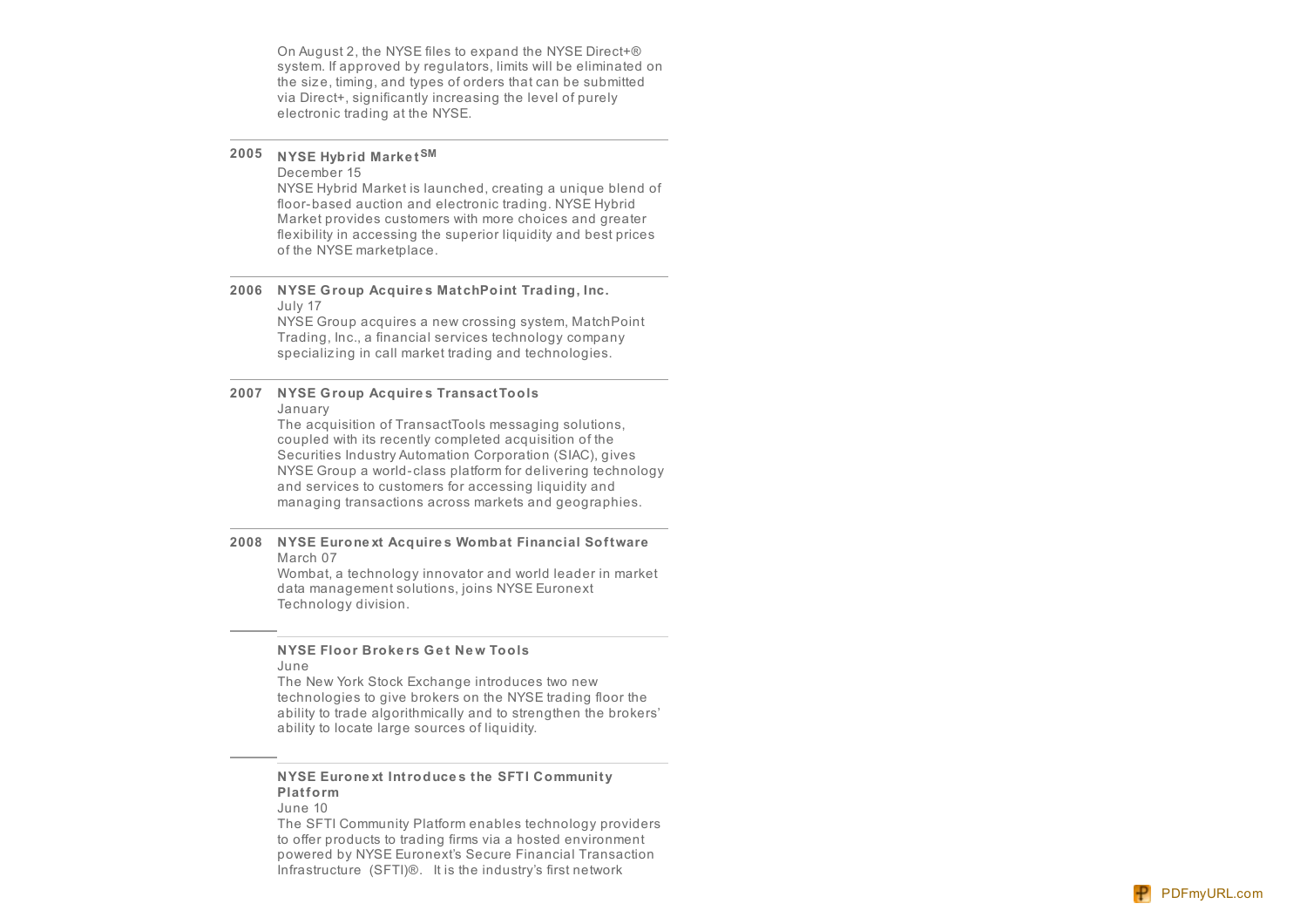On August 2, the NYSE files to expand the NYSE Direct+® system. If approved by regulators, limits will be eliminated on the size, timing, and types of orders that can be submitted via Direct+, significantly increasing the level of purely electronic trading at the NYSE.

# **2005 NYSE Hybrid Marke tSM**

#### December 15

NYSE Hybrid Market is launched, creating a unique blend of floor-based auction and electronic trading. NYSE Hybrid Market provides customers with more choices and greater flexibility in accessing the superior liquidity and best prices of the NYSE marketplace.

#### 2006 NYSE Group Acquires MatchPoint Trading, Inc. J uly 1 7

NYSE Group acquires a new crossing system, MatchPoint Trading, Inc., a financial services technology company specializing in call market trading and technologies.

#### **2007 NYSE Group Acquire s TransactTools** January

The acquisition of TransactTools messaging solution s, coupled with its recently completed acquisition of the Securities Industry Automation Corporation (SIAC), give s NYSE Group a world-class platform for delivering technology and services to customers for accessing liquidity and managing transactions across markets and geographies.

#### **2008 NYSE Eurone xt Acquire s Wombat Financial Softwar e** March 07

Wombat, a technology innovator and world leader in market data management solutions, joins NYSE Euronext Te c h n olo g y divisio n.

#### **NYSE Floor Brokers Get New Tools** J u n e

The New York Stock Exchange introduces two new technologies to give brokers on the NYSE trading floor the ability to trade algorithmically and to strengthen the brokers' ability to locate large sources of liquidity.

# **NYSE Eurone xt Introduce s the SFTI Community Platform**

June 10

The SFTI Community Platform enables technology providers to offer products to trading firms via a hosted environment powered by NYSE Euronext's Secure Financial Transaction Infrastructure (SFTI)®. It is the industry's first network